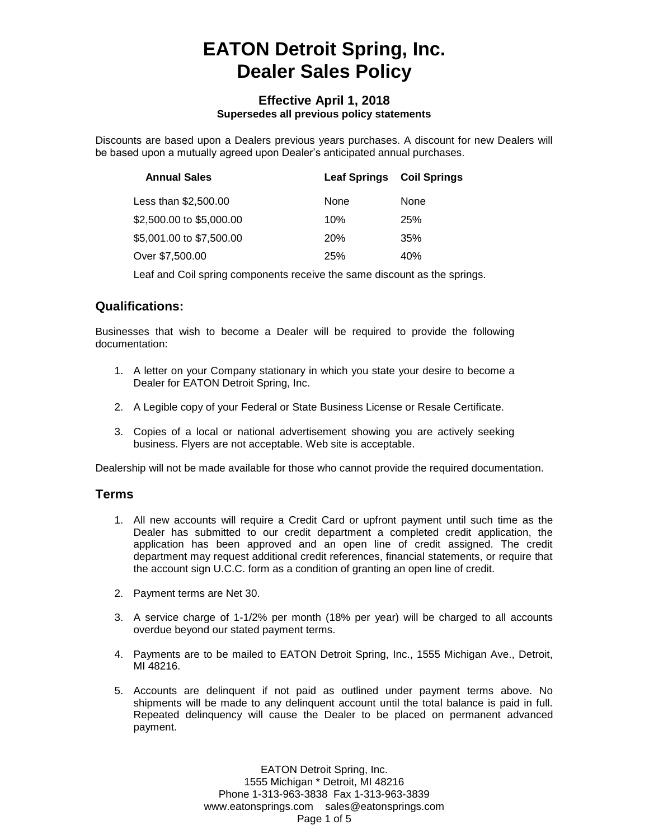# **EATON Detroit Spring, Inc. Dealer Sales Policy**

#### **Effective April 1, 2018 Supersedes all previous policy statements**

Discounts are based upon a Dealers previous years purchases. A discount for new Dealers will be based upon a mutually agreed upon Dealer's anticipated annual purchases.

| <b>Annual Sales</b>      | <b>Leaf Springs Coil Springs</b> |      |
|--------------------------|----------------------------------|------|
| Less than \$2,500.00     | None                             | None |
| \$2,500.00 to \$5,000.00 | 10%                              | 25%  |
| \$5,001.00 to \$7,500.00 | <b>20%</b>                       | 35%  |
| Over \$7,500.00          | <b>25%</b>                       | 40%  |

Leaf and Coil spring components receive the same discount as the springs.

## **Qualifications:**

Businesses that wish to become a Dealer will be required to provide the following documentation:

- 1. A letter on your Company stationary in which you state your desire to become a Dealer for EATON Detroit Spring, Inc.
- 2. A Legible copy of your Federal or State Business License or Resale Certificate.
- 3. Copies of a local or national advertisement showing you are actively seeking business. Flyers are not acceptable. Web site is acceptable.

Dealership will not be made available for those who cannot provide the required documentation.

#### **Terms**

- 1. All new accounts will require a Credit Card or upfront payment until such time as the Dealer has submitted to our credit department a completed credit application, the application has been approved and an open line of credit assigned. The credit department may request additional credit references, financial statements, or require that the account sign U.C.C. form as a condition of granting an open line of credit.
- 2. Payment terms are Net 30.
- 3. A service charge of 1-1/2% per month (18% per year) will be charged to all accounts overdue beyond our stated payment terms.
- 4. Payments are to be mailed to EATON Detroit Spring, Inc., 1555 Michigan Ave., Detroit, MI 48216.
- 5. Accounts are delinquent if not paid as outlined under payment terms above. No shipments will be made to any delinquent account until the total balance is paid in full. Repeated delinquency will cause the Dealer to be placed on permanent advanced payment.

EATON Detroit Spring, Inc. 1555 Michigan \* Detroit, MI 48216 Phone 1-313-963-3838 Fax 1-313-963-3839 www.eatonsprings.com sales@eatonsprings.com Page 1 of 5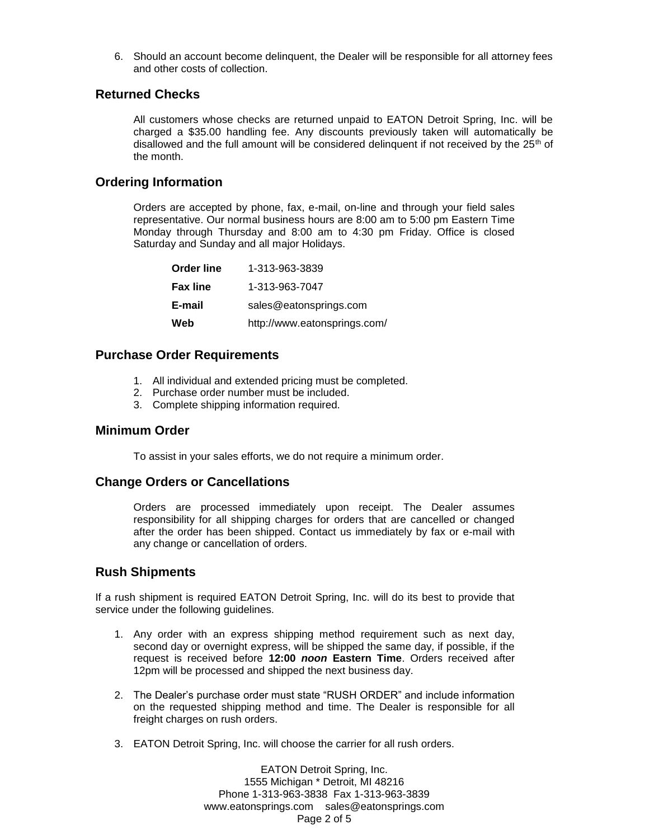6. Should an account become delinquent, the Dealer will be responsible for all attorney fees and other costs of collection.

## **Returned Checks**

All customers whose checks are returned unpaid to EATON Detroit Spring, Inc. will be charged a \$35.00 handling fee. Any discounts previously taken will automatically be disallowed and the full amount will be considered delinguent if not received by the  $25<sup>th</sup>$  of the month.

## **Ordering Information**

Orders are accepted by phone, fax, e-mail, on-line and through your field sales representative. Our normal business hours are 8:00 am to 5:00 pm Eastern Time Monday through Thursday and 8:00 am to 4:30 pm Friday. Office is closed Saturday and Sunday and all major Holidays.

| <b>Order line</b> | 1-313-963-3839               |
|-------------------|------------------------------|
| <b>Fax line</b>   | 1-313-963-7047               |
| E-mail            | sales@eatonsprings.com       |
| Web               | http://www.eatonsprings.com/ |

#### **Purchase Order Requirements**

- 1. All individual and extended pricing must be completed.
- 2. Purchase order number must be included.
- 3. Complete shipping information required.

#### **Minimum Order**

To assist in your sales efforts, we do not require a minimum order.

#### **Change Orders or Cancellations**

Orders are processed immediately upon receipt. The Dealer assumes responsibility for all shipping charges for orders that are cancelled or changed after the order has been shipped. Contact us immediately by fax or e-mail with any change or cancellation of orders.

#### **Rush Shipments**

If a rush shipment is required EATON Detroit Spring, Inc. will do its best to provide that service under the following guidelines.

- 1. Any order with an express shipping method requirement such as next day, second day or overnight express, will be shipped the same day, if possible, if the request is received before **12:00** *noon* **Eastern Time**. Orders received after 12pm will be processed and shipped the next business day.
- 2. The Dealer's purchase order must state "RUSH ORDER" and include information on the requested shipping method and time. The Dealer is responsible for all freight charges on rush orders.
- 3. EATON Detroit Spring, Inc. will choose the carrier for all rush orders.

EATON Detroit Spring, Inc. 1555 Michigan \* Detroit, MI 48216 Phone 1-313-963-3838 Fax 1-313-963-3839 www.eatonsprings.com sales@eatonsprings.com Page 2 of 5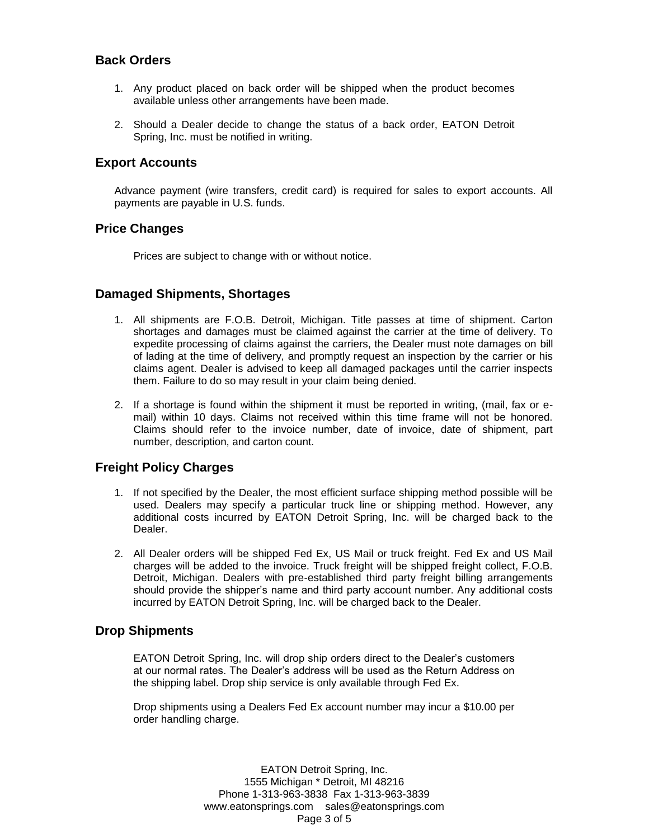## **Back Orders**

- 1. Any product placed on back order will be shipped when the product becomes available unless other arrangements have been made.
- 2. Should a Dealer decide to change the status of a back order, EATON Detroit Spring, Inc. must be notified in writing.

#### **Export Accounts**

Advance payment (wire transfers, credit card) is required for sales to export accounts. All payments are payable in U.S. funds.

## **Price Changes**

Prices are subject to change with or without notice.

## **Damaged Shipments, Shortages**

- 1. All shipments are F.O.B. Detroit, Michigan. Title passes at time of shipment. Carton shortages and damages must be claimed against the carrier at the time of delivery. To expedite processing of claims against the carriers, the Dealer must note damages on bill of lading at the time of delivery, and promptly request an inspection by the carrier or his claims agent. Dealer is advised to keep all damaged packages until the carrier inspects them. Failure to do so may result in your claim being denied.
- 2. If a shortage is found within the shipment it must be reported in writing, (mail, fax or email) within 10 days. Claims not received within this time frame will not be honored. Claims should refer to the invoice number, date of invoice, date of shipment, part number, description, and carton count.

## **Freight Policy Charges**

- 1. If not specified by the Dealer, the most efficient surface shipping method possible will be used. Dealers may specify a particular truck line or shipping method. However, any additional costs incurred by EATON Detroit Spring, Inc. will be charged back to the Dealer.
- 2. All Dealer orders will be shipped Fed Ex, US Mail or truck freight. Fed Ex and US Mail charges will be added to the invoice. Truck freight will be shipped freight collect, F.O.B. Detroit, Michigan. Dealers with pre-established third party freight billing arrangements should provide the shipper's name and third party account number. Any additional costs incurred by EATON Detroit Spring, Inc. will be charged back to the Dealer.

#### **Drop Shipments**

EATON Detroit Spring, Inc. will drop ship orders direct to the Dealer's customers at our normal rates. The Dealer's address will be used as the Return Address on the shipping label. Drop ship service is only available through Fed Ex.

Drop shipments using a Dealers Fed Ex account number may incur a \$10.00 per order handling charge.

> EATON Detroit Spring, Inc. 1555 Michigan \* Detroit, MI 48216 Phone 1-313-963-3838 Fax 1-313-963-3839 www.eatonsprings.com sales@eatonsprings.com Page 3 of 5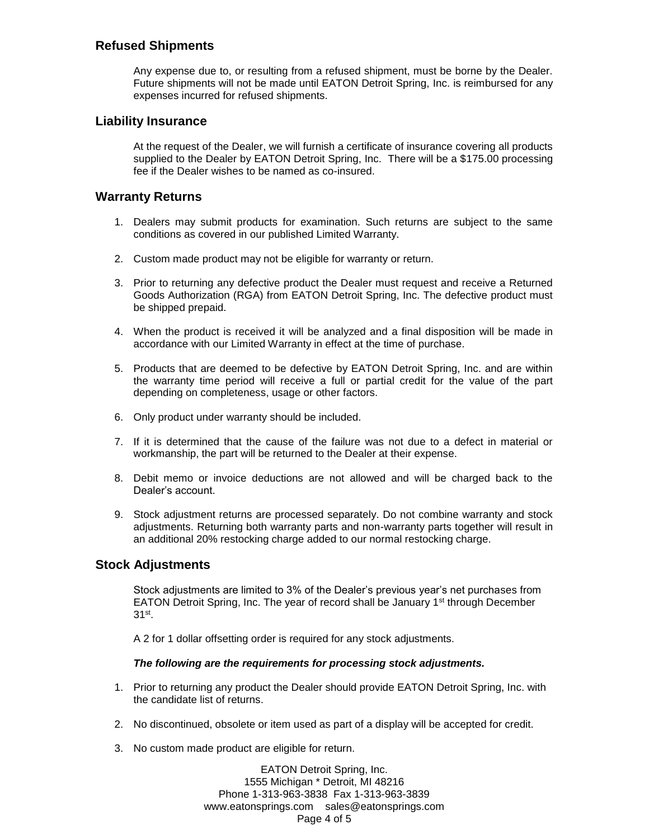# **Refused Shipments**

Any expense due to, or resulting from a refused shipment, must be borne by the Dealer. Future shipments will not be made until EATON Detroit Spring, Inc. is reimbursed for any expenses incurred for refused shipments.

#### **Liability Insurance**

At the request of the Dealer, we will furnish a certificate of insurance covering all products supplied to the Dealer by EATON Detroit Spring, Inc. There will be a \$175.00 processing fee if the Dealer wishes to be named as co-insured.

## **Warranty Returns**

- 1. Dealers may submit products for examination. Such returns are subject to the same conditions as covered in our published Limited Warranty.
- 2. Custom made product may not be eligible for warranty or return.
- 3. Prior to returning any defective product the Dealer must request and receive a Returned Goods Authorization (RGA) from EATON Detroit Spring, Inc. The defective product must be shipped prepaid.
- 4. When the product is received it will be analyzed and a final disposition will be made in accordance with our Limited Warranty in effect at the time of purchase.
- 5. Products that are deemed to be defective by EATON Detroit Spring, Inc. and are within the warranty time period will receive a full or partial credit for the value of the part depending on completeness, usage or other factors.
- 6. Only product under warranty should be included.
- 7. If it is determined that the cause of the failure was not due to a defect in material or workmanship, the part will be returned to the Dealer at their expense.
- 8. Debit memo or invoice deductions are not allowed and will be charged back to the Dealer's account.
- 9. Stock adjustment returns are processed separately. Do not combine warranty and stock adjustments. Returning both warranty parts and non-warranty parts together will result in an additional 20% restocking charge added to our normal restocking charge.

## **Stock Adjustments**

Stock adjustments are limited to 3% of the Dealer's previous year's net purchases from EATON Detroit Spring, Inc. The year of record shall be January  $1<sup>st</sup>$  through December 31st .

A 2 for 1 dollar offsetting order is required for any stock adjustments.

#### *The following are the requirements for processing stock adjustments.*

- 1. Prior to returning any product the Dealer should provide EATON Detroit Spring, Inc. with the candidate list of returns.
- 2. No discontinued, obsolete or item used as part of a display will be accepted for credit.
- 3. No custom made product are eligible for return.

EATON Detroit Spring, Inc. 1555 Michigan \* Detroit, MI 48216 Phone 1-313-963-3838 Fax 1-313-963-3839 www.eatonsprings.com sales@eatonsprings.com Page 4 of 5